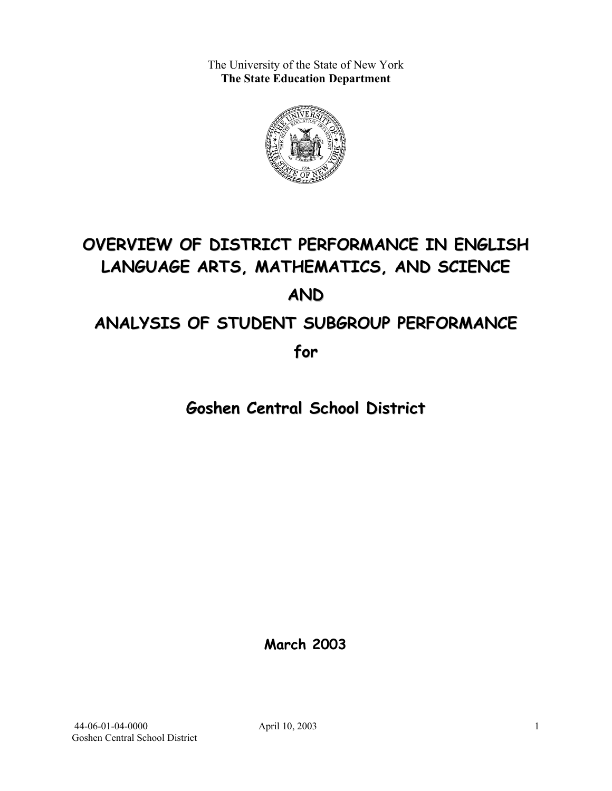The University of the State of New York **The State Education Department** 



# **OVERVIEW OF DISTRICT PERFORMANCE IN ENGLISH LANGUAGE ARTS, MATHEMATICS, AND SCIENCE AND ANALYSIS OF STUDENT SUBGROUP PERFORMANCE**

**for**

**Goshen Central School District**

**March 2003**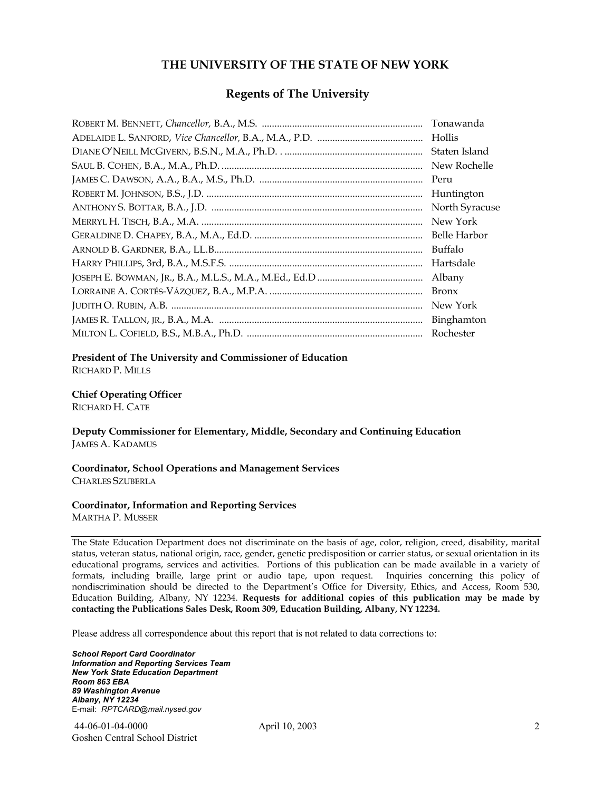#### **THE UNIVERSITY OF THE STATE OF NEW YORK**

#### **Regents of The University**

| Tonawanda      |
|----------------|
| Hollis         |
| Staten Island  |
| New Rochelle   |
| Peru           |
| Huntington     |
| North Syracuse |
| New York       |
| Belle Harbor   |
| Buffalo        |
| Hartsdale      |
| Albany         |
| <b>Bronx</b>   |
| New York       |
| Binghamton     |
| Rochester      |

#### **President of The University and Commissioner of Education**

RICHARD P. MILLS

#### **Chief Operating Officer**

RICHARD H. CATE

**Deputy Commissioner for Elementary, Middle, Secondary and Continuing Education**  JAMES A. KADAMUS

#### **Coordinator, School Operations and Management Services**  CHARLES SZUBERLA

#### **Coordinator, Information and Reporting Services**

MARTHA P. MUSSER

The State Education Department does not discriminate on the basis of age, color, religion, creed, disability, marital status, veteran status, national origin, race, gender, genetic predisposition or carrier status, or sexual orientation in its educational programs, services and activities. Portions of this publication can be made available in a variety of formats, including braille, large print or audio tape, upon request. Inquiries concerning this policy of nondiscrimination should be directed to the Department's Office for Diversity, Ethics, and Access, Room 530, Education Building, Albany, NY 12234. **Requests for additional copies of this publication may be made by contacting the Publications Sales Desk, Room 309, Education Building, Albany, NY 12234.** 

Please address all correspondence about this report that is not related to data corrections to:

*School Report Card Coordinator Information and Reporting Services Team New York State Education Department Room 863 EBA 89 Washington Avenue Albany, NY 12234*  E-mail: *RPTCARD@mail.nysed.gov*

 44-06-01-04-0000 April 10, 2003 Goshen Central School District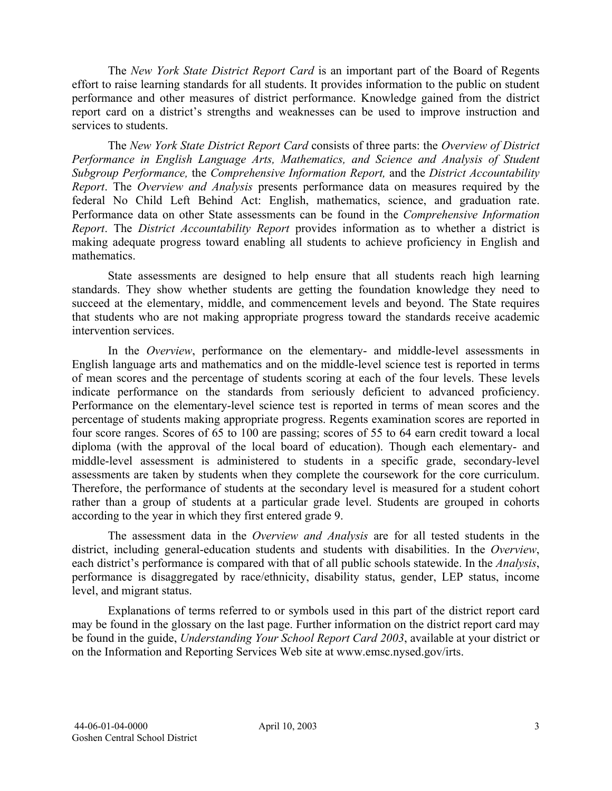The *New York State District Report Card* is an important part of the Board of Regents effort to raise learning standards for all students. It provides information to the public on student performance and other measures of district performance. Knowledge gained from the district report card on a district's strengths and weaknesses can be used to improve instruction and services to students.

The *New York State District Report Card* consists of three parts: the *Overview of District Performance in English Language Arts, Mathematics, and Science and Analysis of Student Subgroup Performance,* the *Comprehensive Information Report,* and the *District Accountability Report*. The *Overview and Analysis* presents performance data on measures required by the federal No Child Left Behind Act: English, mathematics, science, and graduation rate. Performance data on other State assessments can be found in the *Comprehensive Information Report*. The *District Accountability Report* provides information as to whether a district is making adequate progress toward enabling all students to achieve proficiency in English and mathematics.

State assessments are designed to help ensure that all students reach high learning standards. They show whether students are getting the foundation knowledge they need to succeed at the elementary, middle, and commencement levels and beyond. The State requires that students who are not making appropriate progress toward the standards receive academic intervention services.

In the *Overview*, performance on the elementary- and middle-level assessments in English language arts and mathematics and on the middle-level science test is reported in terms of mean scores and the percentage of students scoring at each of the four levels. These levels indicate performance on the standards from seriously deficient to advanced proficiency. Performance on the elementary-level science test is reported in terms of mean scores and the percentage of students making appropriate progress. Regents examination scores are reported in four score ranges. Scores of 65 to 100 are passing; scores of 55 to 64 earn credit toward a local diploma (with the approval of the local board of education). Though each elementary- and middle-level assessment is administered to students in a specific grade, secondary-level assessments are taken by students when they complete the coursework for the core curriculum. Therefore, the performance of students at the secondary level is measured for a student cohort rather than a group of students at a particular grade level. Students are grouped in cohorts according to the year in which they first entered grade 9.

The assessment data in the *Overview and Analysis* are for all tested students in the district, including general-education students and students with disabilities. In the *Overview*, each district's performance is compared with that of all public schools statewide. In the *Analysis*, performance is disaggregated by race/ethnicity, disability status, gender, LEP status, income level, and migrant status.

Explanations of terms referred to or symbols used in this part of the district report card may be found in the glossary on the last page. Further information on the district report card may be found in the guide, *Understanding Your School Report Card 2003*, available at your district or on the Information and Reporting Services Web site at www.emsc.nysed.gov/irts.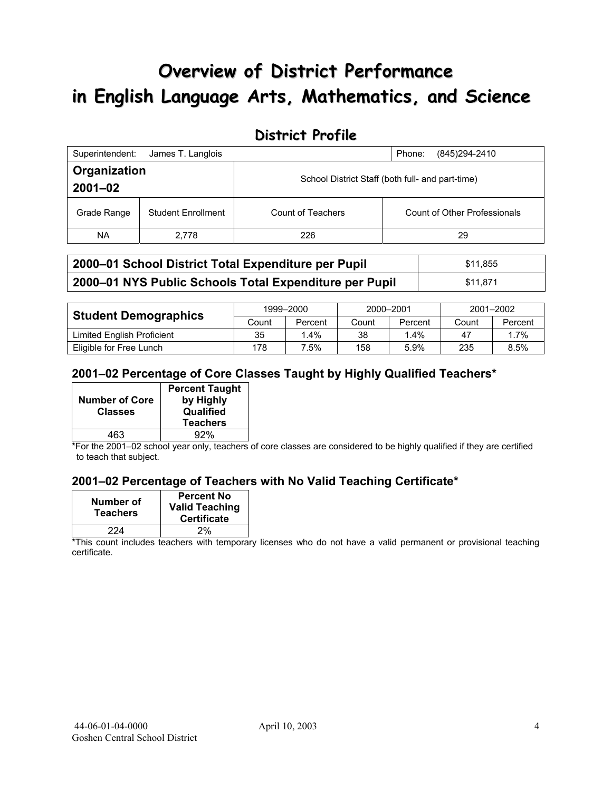# **Overview of District Performance in English Language Arts, Mathematics, and Science**

## **District Profile**

| Superintendent:             | James T. Langlois         |                                                  | (845) 294-2410<br>Phone:     |  |  |
|-----------------------------|---------------------------|--------------------------------------------------|------------------------------|--|--|
| Organization<br>$2001 - 02$ |                           | School District Staff (both full- and part-time) |                              |  |  |
| Grade Range                 | <b>Student Enrollment</b> | Count of Teachers                                | Count of Other Professionals |  |  |
| NA.                         | 2.778                     | 226                                              | 29                           |  |  |

| 2000–01 School District Total Expenditure per Pupil    | \$11.855 |
|--------------------------------------------------------|----------|
| 2000-01 NYS Public Schools Total Expenditure per Pupil | \$11.871 |

|                             | 1999-2000 |         | 2000-2001 |         | 2001-2002 |         |
|-----------------------------|-----------|---------|-----------|---------|-----------|---------|
| <b>Student Demographics</b> | Count     | Percent | Count     | Percent | Count     | Percent |
| Limited English Proficient  | 35        | $.4\%$  | 38        | $1.4\%$ | 47        | 1.7%    |
| Eligible for Free Lunch     | 178       | 7.5%    | 158       | 5.9%    | 235       | 8.5%    |

#### **2001–02 Percentage of Core Classes Taught by Highly Qualified Teachers\***

|                       | <b>Percent Taught</b> |
|-----------------------|-----------------------|
| <b>Number of Core</b> | by Highly             |
| <b>Classes</b>        | Qualified             |
|                       | <b>Teachers</b>       |
| 463                   | 92%                   |

\*For the 2001–02 school year only, teachers of core classes are considered to be highly qualified if they are certified to teach that subject.

#### **2001–02 Percentage of Teachers with No Valid Teaching Certificate\***

| Number of<br><b>Teachers</b> | <b>Percent No</b><br><b>Valid Teaching</b><br><b>Certificate</b> |
|------------------------------|------------------------------------------------------------------|
| 224                          | 2%                                                               |

\*This count includes teachers with temporary licenses who do not have a valid permanent or provisional teaching certificate.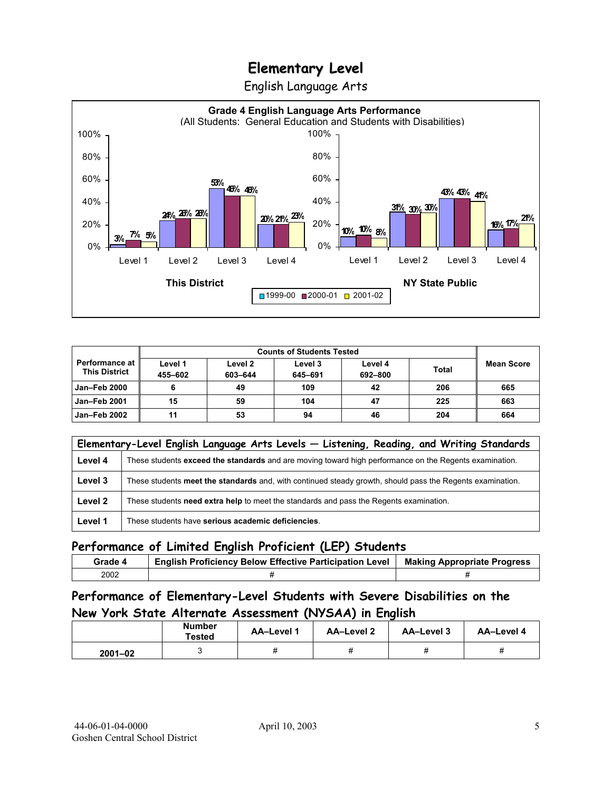English Language Arts



|                                                 |                    | <b>Counts of Students Tested</b> |                    |                    |              |                   |
|-------------------------------------------------|--------------------|----------------------------------|--------------------|--------------------|--------------|-------------------|
| <b>Performance at l</b><br><b>This District</b> | Level 1<br>455-602 | Level 2<br>603-644               | Level 3<br>645-691 | Level 4<br>692-800 | <b>Total</b> | <b>Mean Score</b> |
| Jan-Feb 2000                                    |                    | 49                               | 109                | 42                 | 206          | 665               |
| <b>Jan-Feb 2001</b>                             | 15                 | 59                               | 104                | 47                 | 225          | 663               |
| Jan-Feb 2002                                    | 11                 | 53                               | 94                 | 46                 | 204          | 664               |

|         | Elementary-Level English Language Arts Levels - Listening, Reading, and Writing Standards                 |
|---------|-----------------------------------------------------------------------------------------------------------|
| Level 4 | These students exceed the standards and are moving toward high performance on the Regents examination.    |
| Level 3 | These students meet the standards and, with continued steady growth, should pass the Regents examination. |
| Level 2 | These students need extra help to meet the standards and pass the Regents examination.                    |
| Level 1 | These students have serious academic deficiencies.                                                        |

### **Performance of Limited English Proficient (LEP) Students**

| Grade 4 | <b>English Proficiency Below Effective Participation Level</b> | <b>Making Appropriate Progress</b> |
|---------|----------------------------------------------------------------|------------------------------------|
| 2002    |                                                                |                                    |

### **Performance of Elementary-Level Students with Severe Disabilities on the New York State Alternate Assessment (NYSAA) in English**

|             | <b>Number</b><br>Tested | <b>AA-Level 1</b> | <b>AA-Level 2</b> | AA-Level 3 | AA-Level 4 |
|-------------|-------------------------|-------------------|-------------------|------------|------------|
| $2001 - 02$ |                         | 11                |                   |            |            |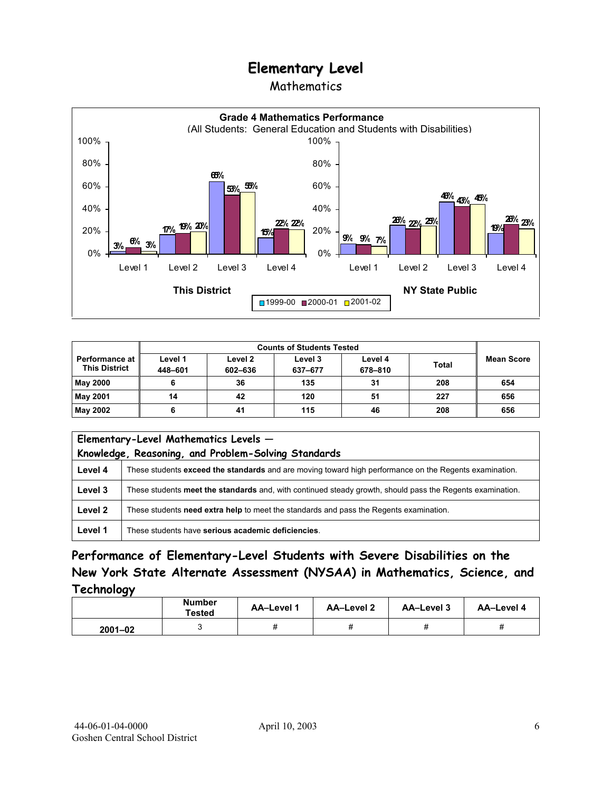## Mathematics



|                                                 | <b>Counts of Students Tested</b> |                    |                    |                    |              |            |
|-------------------------------------------------|----------------------------------|--------------------|--------------------|--------------------|--------------|------------|
| <b>Performance at I</b><br><b>This District</b> | Level 1<br>448-601               | Level 2<br>602-636 | Level 3<br>637-677 | Level 4<br>678-810 | <b>Total</b> | Mean Score |
| <b>May 2000</b>                                 |                                  | 36                 | 135                | 31                 | 208          | 654        |
| May 2001                                        | 14                               | 42                 | 120                | 51                 | 227          | 656        |
| May 2002                                        | 6                                | 41                 | 115                | 46                 | 208          | 656        |

|         | Elementary-Level Mathematics Levels -<br>Knowledge, Reasoning, and Problem-Solving Standards              |  |  |  |
|---------|-----------------------------------------------------------------------------------------------------------|--|--|--|
| Level 4 | These students exceed the standards and are moving toward high performance on the Regents examination.    |  |  |  |
| Level 3 | These students meet the standards and, with continued steady growth, should pass the Regents examination. |  |  |  |
| Level 2 | These students need extra help to meet the standards and pass the Regents examination.                    |  |  |  |
| Level 1 | These students have serious academic deficiencies.                                                        |  |  |  |

## **Performance of Elementary-Level Students with Severe Disabilities on the New York State Alternate Assessment (NYSAA) in Mathematics, Science, and Technology**

|             | <b>Number</b><br><b>Tested</b> | AA-Level 1 | <b>AA-Level 2</b> | <b>AA-Level 3</b> | AA-Level 4 |
|-------------|--------------------------------|------------|-------------------|-------------------|------------|
| $2001 - 02$ |                                | π          | π                 | π                 |            |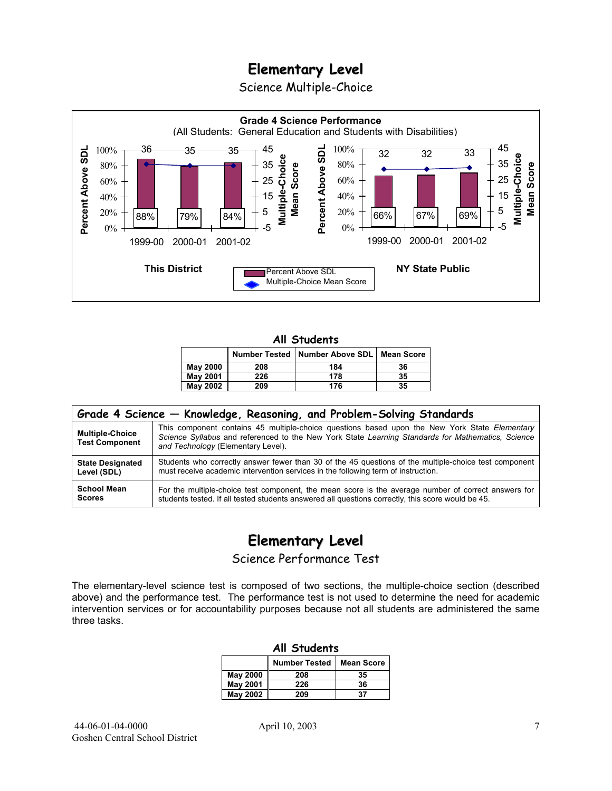Science Multiple-Choice



#### **All Students**

|                 |     | Number Tested   Number Above SDL   Mean Score |    |
|-----------------|-----|-----------------------------------------------|----|
| <b>May 2000</b> | 208 | 184                                           | 36 |
| <b>May 2001</b> | 226 | 178                                           | 35 |
| <b>May 2002</b> | 209 | 176                                           | 35 |

| Grade 4 Science – Knowledge, Reasoning, and Problem-Solving Standards |                                                                                                                                                                                                                                          |  |  |  |  |  |
|-----------------------------------------------------------------------|------------------------------------------------------------------------------------------------------------------------------------------------------------------------------------------------------------------------------------------|--|--|--|--|--|
| <b>Multiple-Choice</b><br><b>Test Component</b>                       | This component contains 45 multiple-choice questions based upon the New York State Elementary<br>Science Syllabus and referenced to the New York State Learning Standards for Mathematics, Science<br>and Technology (Elementary Level). |  |  |  |  |  |
| <b>State Designated</b>                                               | Students who correctly answer fewer than 30 of the 45 questions of the multiple-choice test component                                                                                                                                    |  |  |  |  |  |
| Level (SDL)                                                           | must receive academic intervention services in the following term of instruction.                                                                                                                                                        |  |  |  |  |  |
| <b>School Mean</b>                                                    | For the multiple-choice test component, the mean score is the average number of correct answers for                                                                                                                                      |  |  |  |  |  |
| <b>Scores</b>                                                         | students tested. If all tested students answered all questions correctly, this score would be 45.                                                                                                                                        |  |  |  |  |  |

# **Elementary Level**

Science Performance Test

The elementary-level science test is composed of two sections, the multiple-choice section (described above) and the performance test. The performance test is not used to determine the need for academic intervention services or for accountability purposes because not all students are administered the same three tasks.

| All Students                              |     |    |  |  |  |
|-------------------------------------------|-----|----|--|--|--|
| <b>Number Tested</b><br><b>Mean Score</b> |     |    |  |  |  |
| May 2000                                  | 208 | 35 |  |  |  |
| <b>May 2001</b>                           | 226 | 36 |  |  |  |
| May 2002<br>37<br>209                     |     |    |  |  |  |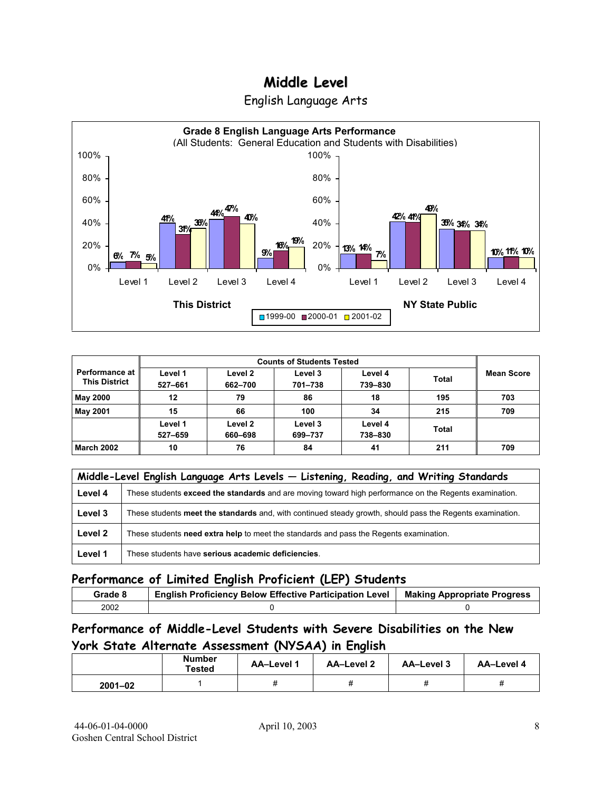



| Performance at<br><b>This District</b> | Level 1<br>527-661 | Level 2<br>662-700 | Level 3<br>701-738 | Level 4<br>739-830 | <b>Total</b> | <b>Mean Score</b> |
|----------------------------------------|--------------------|--------------------|--------------------|--------------------|--------------|-------------------|
| <b>May 2000</b>                        | 12                 | 79                 | 86                 | 18                 | 195          | 703               |
| <b>May 2001</b>                        | 15                 | 66                 | 100                | 34                 | 215          | 709               |
|                                        | Level 1<br>527-659 | Level 2<br>660-698 | Level 3<br>699-737 | Level 4<br>738-830 | <b>Total</b> |                   |
| <b>March 2002</b>                      | 10                 | 76                 | 84                 | 41                 | 211          | 709               |

|         | Middle-Level English Language Arts Levels - Listening, Reading, and Writing Standards                     |  |  |  |  |
|---------|-----------------------------------------------------------------------------------------------------------|--|--|--|--|
| Level 4 | These students exceed the standards and are moving toward high performance on the Regents examination.    |  |  |  |  |
| Level 3 | These students meet the standards and, with continued steady growth, should pass the Regents examination. |  |  |  |  |
| Level 2 | These students <b>need extra help</b> to meet the standards and pass the Regents examination.             |  |  |  |  |
| Level 1 | These students have serious academic deficiencies.                                                        |  |  |  |  |

### **Performance of Limited English Proficient (LEP) Students**

| Grade 8 | <b>English Proficiency Below Effective Participation Level</b> | <b>Making Appropriate Progress</b> |
|---------|----------------------------------------------------------------|------------------------------------|
| 2002    |                                                                |                                    |

### **Performance of Middle-Level Students with Severe Disabilities on the New York State Alternate Assessment (NYSAA) in English**

|             | <b>Number</b><br>Tested | <b>AA-Level 1</b> | AA-Level 2 | AA-Level 3 | AA-Level 4 |
|-------------|-------------------------|-------------------|------------|------------|------------|
| $2001 - 02$ |                         | 11                |            |            |            |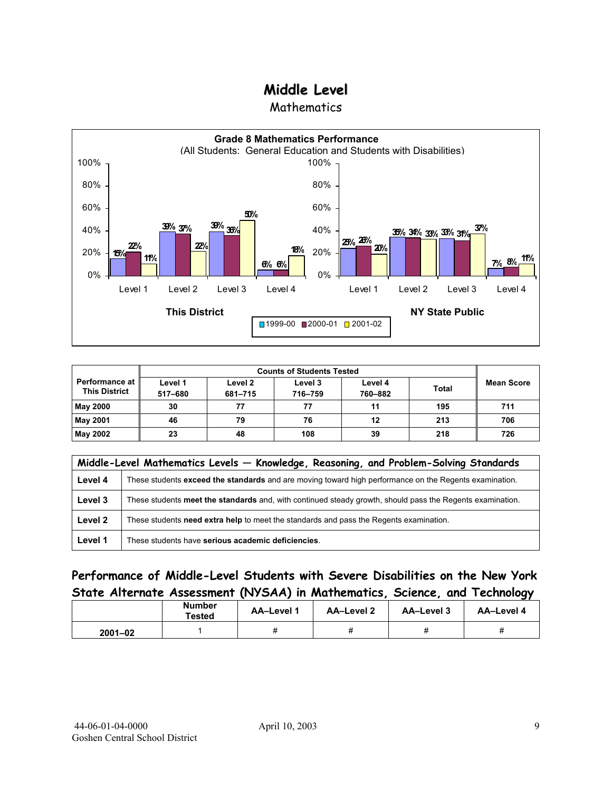**Mathematics** 



| <b>Performance at</b><br><b>This District</b> | Level 1<br>517-680 | Level 2<br>681-715 | Level 3<br>716-759 | Level 4<br>760-882 | <b>Total</b> | <b>Mean Score</b> |
|-----------------------------------------------|--------------------|--------------------|--------------------|--------------------|--------------|-------------------|
| <b>May 2000</b>                               | 30                 | 77                 | 77                 | 11                 | 195          | 711               |
| <b>May 2001</b>                               | 46                 | 79                 | 76                 | 12                 | 213          | 706               |
| <b>May 2002</b>                               | 23                 | 48                 | 108                | 39                 | 218          | 726               |

|         | Middle-Level Mathematics Levels - Knowledge, Reasoning, and Problem-Solving Standards                     |  |  |  |  |
|---------|-----------------------------------------------------------------------------------------------------------|--|--|--|--|
| Level 4 | These students exceed the standards and are moving toward high performance on the Regents examination.    |  |  |  |  |
| Level 3 | These students meet the standards and, with continued steady growth, should pass the Regents examination. |  |  |  |  |
| Level 2 | These students need extra help to meet the standards and pass the Regents examination.                    |  |  |  |  |
| Level 1 | These students have serious academic deficiencies.                                                        |  |  |  |  |

### **Performance of Middle-Level Students with Severe Disabilities on the New York State Alternate Assessment (NYSAA) in Mathematics, Science, and Technology**

|             | <b>Number</b><br>Tested | <b>AA-Level 1</b> | AA-Level 2 |  | AA-Level 4 |
|-------------|-------------------------|-------------------|------------|--|------------|
| $2001 - 02$ |                         | π                 |            |  |            |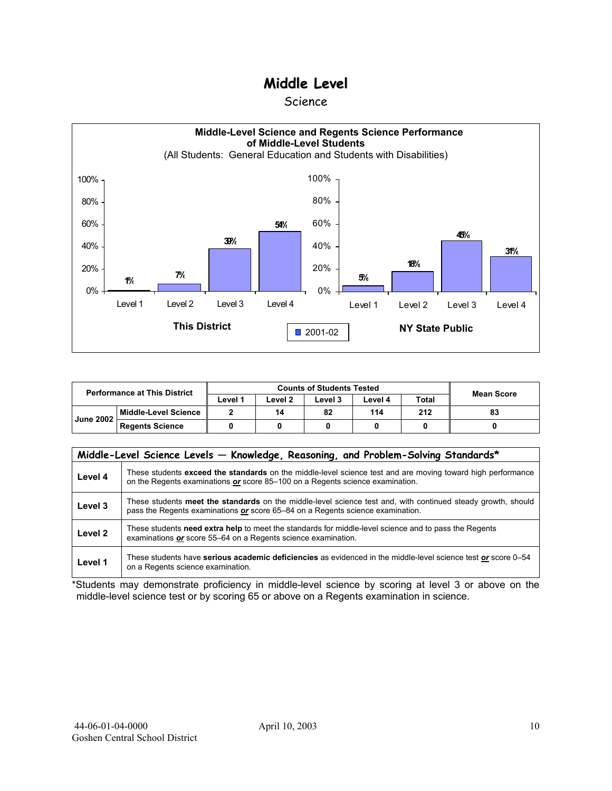#### Science



| <b>Performance at This District</b> |                        | <b>Counts of Students Tested</b> |         |         |         |              | <b>Mean Score</b> |
|-------------------------------------|------------------------|----------------------------------|---------|---------|---------|--------------|-------------------|
|                                     |                        | ∟evel 1                          | ∟evel 2 | Level 3 | Level 4 | <b>Total</b> |                   |
| <b>June 2002</b>                    | Middle-Level Science   |                                  | 14      | 82      | 114     | 212          | 83                |
|                                     | <b>Regents Science</b> |                                  |         |         |         |              |                   |

|                    | Middle-Level Science Levels - Knowledge, Reasoning, and Problem-Solving Standards*                                                                                                             |
|--------------------|------------------------------------------------------------------------------------------------------------------------------------------------------------------------------------------------|
| Level 4            | These students exceed the standards on the middle-level science test and are moving toward high performance<br>on the Regents examinations or score 85-100 on a Regents science examination.   |
| Level 3            | These students meet the standards on the middle-level science test and, with continued steady growth, should<br>pass the Regents examinations or score 65–84 on a Regents science examination. |
| Level <sub>2</sub> | These students need extra help to meet the standards for middle-level science and to pass the Regents<br>examinations or score 55–64 on a Regents science examination.                         |
| Level 1            | These students have serious academic deficiencies as evidenced in the middle-level science test or score 0–54<br>on a Regents science examination.                                             |

\*Students may demonstrate proficiency in middle-level science by scoring at level 3 or above on the middle-level science test or by scoring 65 or above on a Regents examination in science.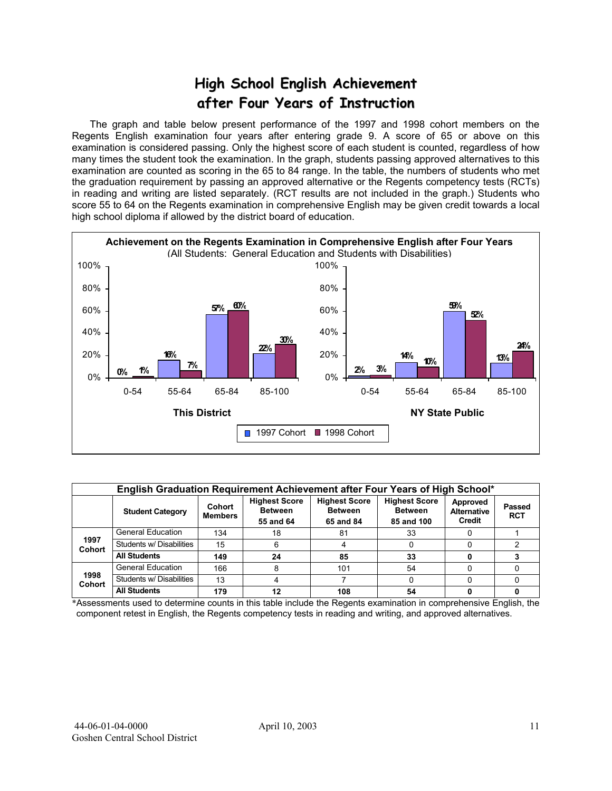# **High School English Achievement after Four Years of Instruction**

 The graph and table below present performance of the 1997 and 1998 cohort members on the Regents English examination four years after entering grade 9. A score of 65 or above on this examination is considered passing. Only the highest score of each student is counted, regardless of how many times the student took the examination. In the graph, students passing approved alternatives to this examination are counted as scoring in the 65 to 84 range. In the table, the numbers of students who met the graduation requirement by passing an approved alternative or the Regents competency tests (RCTs) in reading and writing are listed separately. (RCT results are not included in the graph.) Students who score 55 to 64 on the Regents examination in comprehensive English may be given credit towards a local high school diploma if allowed by the district board of education.



|                       | English Graduation Requirement Achievement after Four Years of High School* |                          |                                                     |                                                     |                                                      |                                                 |                      |  |  |  |  |  |  |
|-----------------------|-----------------------------------------------------------------------------|--------------------------|-----------------------------------------------------|-----------------------------------------------------|------------------------------------------------------|-------------------------------------------------|----------------------|--|--|--|--|--|--|
|                       | <b>Student Category</b>                                                     | Cohort<br><b>Members</b> | <b>Highest Score</b><br><b>Between</b><br>55 and 64 | <b>Highest Score</b><br><b>Between</b><br>65 and 84 | <b>Highest Score</b><br><b>Between</b><br>85 and 100 | Approved<br><b>Alternative</b><br><b>Credit</b> | Passed<br><b>RCT</b> |  |  |  |  |  |  |
|                       | <b>General Education</b>                                                    | 134                      | 18                                                  | 81                                                  | 33                                                   |                                                 |                      |  |  |  |  |  |  |
| 1997<br><b>Cohort</b> | Students w/ Disabilities                                                    | 15                       | 6                                                   |                                                     | 0                                                    |                                                 |                      |  |  |  |  |  |  |
|                       | <b>All Students</b>                                                         | 149                      | 24                                                  | 85                                                  | 33                                                   |                                                 |                      |  |  |  |  |  |  |
|                       | <b>General Education</b>                                                    | 166                      | 8                                                   | 101                                                 | 54                                                   |                                                 |                      |  |  |  |  |  |  |
| 1998<br><b>Cohort</b> | Students w/ Disabilities                                                    | 13                       |                                                     |                                                     | 0                                                    |                                                 |                      |  |  |  |  |  |  |
|                       | <b>All Students</b>                                                         | 179                      | 12                                                  | 108                                                 | 54                                                   |                                                 |                      |  |  |  |  |  |  |

\*Assessments used to determine counts in this table include the Regents examination in comprehensive English, the component retest in English, the Regents competency tests in reading and writing, and approved alternatives.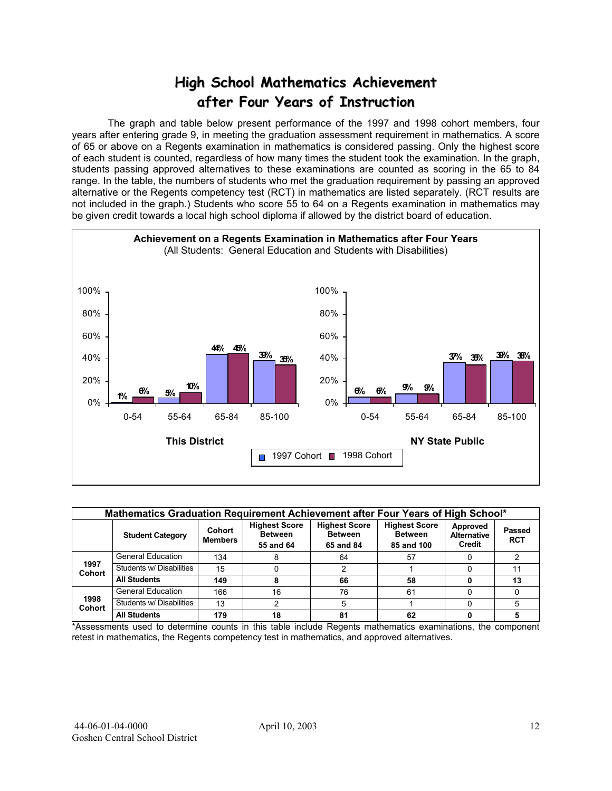# **High School Mathematics Achievement after Four Years of Instruction**

 The graph and table below present performance of the 1997 and 1998 cohort members, four years after entering grade 9, in meeting the graduation assessment requirement in mathematics. A score of 65 or above on a Regents examination in mathematics is considered passing. Only the highest score of each student is counted, regardless of how many times the student took the examination. In the graph, students passing approved alternatives to these examinations are counted as scoring in the 65 to 84 range. In the table, the numbers of students who met the graduation requirement by passing an approved alternative or the Regents competency test (RCT) in mathematics are listed separately. (RCT results are not included in the graph.) Students who score 55 to 64 on a Regents examination in mathematics may be given credit towards a local high school diploma if allowed by the district board of education.



|                       | Mathematics Graduation Requirement Achievement after Four Years of High School* |                          |    |                                                     |                                                      |                                          |                      |  |  |  |  |  |  |
|-----------------------|---------------------------------------------------------------------------------|--------------------------|----|-----------------------------------------------------|------------------------------------------------------|------------------------------------------|----------------------|--|--|--|--|--|--|
|                       | <b>Student Category</b>                                                         | Cohort<br><b>Members</b> |    | <b>Highest Score</b><br><b>Between</b><br>65 and 84 | <b>Highest Score</b><br><b>Between</b><br>85 and 100 | Approved<br><b>Alternative</b><br>Credit | Passed<br><b>RCT</b> |  |  |  |  |  |  |
|                       | <b>General Education</b>                                                        | 134                      | 8  | 64                                                  | 57                                                   |                                          |                      |  |  |  |  |  |  |
| 1997<br><b>Cohort</b> | Students w/ Disabilities                                                        | 15                       | 0  |                                                     |                                                      |                                          |                      |  |  |  |  |  |  |
|                       | <b>All Students</b>                                                             | 149                      | 8  | 66                                                  | 58                                                   |                                          | 13                   |  |  |  |  |  |  |
|                       | <b>General Education</b>                                                        | 166                      | 16 | 76                                                  | 61                                                   |                                          |                      |  |  |  |  |  |  |
| 1998<br><b>Cohort</b> | Students w/ Disabilities                                                        | 13                       | 2  | 5                                                   |                                                      |                                          |                      |  |  |  |  |  |  |
|                       | <b>All Students</b>                                                             | 179                      | 18 | 81                                                  | 62                                                   |                                          |                      |  |  |  |  |  |  |

\*Assessments used to determine counts in this table include Regents mathematics examinations, the component retest in mathematics, the Regents competency test in mathematics, and approved alternatives.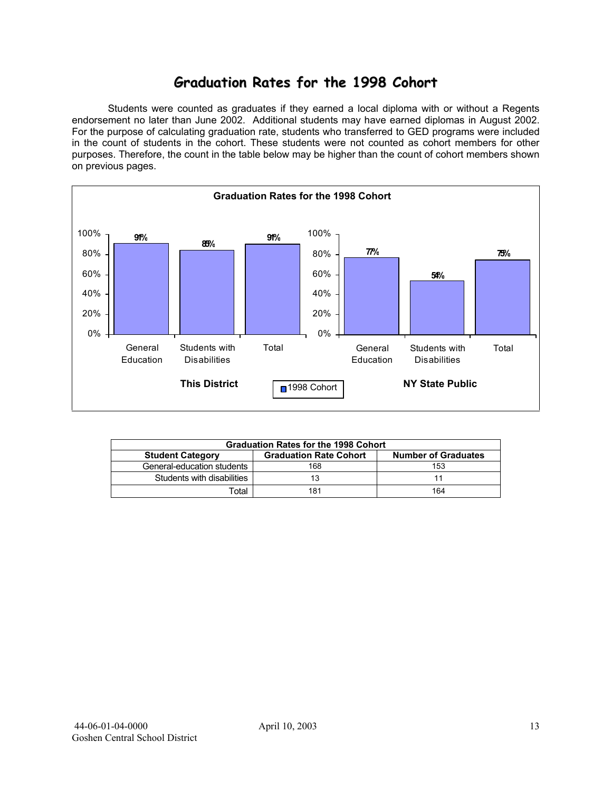## **Graduation Rates for the 1998 Cohort**

 Students were counted as graduates if they earned a local diploma with or without a Regents endorsement no later than June 2002. Additional students may have earned diplomas in August 2002. For the purpose of calculating graduation rate, students who transferred to GED programs were included in the count of students in the cohort. These students were not counted as cohort members for other purposes. Therefore, the count in the table below may be higher than the count of cohort members shown on previous pages.



|                            | <b>Graduation Rates for the 1998 Cohort</b> |                            |  |  |  |  |  |  |  |  |  |
|----------------------------|---------------------------------------------|----------------------------|--|--|--|--|--|--|--|--|--|
| <b>Student Category</b>    | <b>Graduation Rate Cohort</b>               | <b>Number of Graduates</b> |  |  |  |  |  |  |  |  |  |
| General-education students | 168                                         | 153                        |  |  |  |  |  |  |  |  |  |
| Students with disabilities |                                             |                            |  |  |  |  |  |  |  |  |  |
| Total                      | 181                                         | 164                        |  |  |  |  |  |  |  |  |  |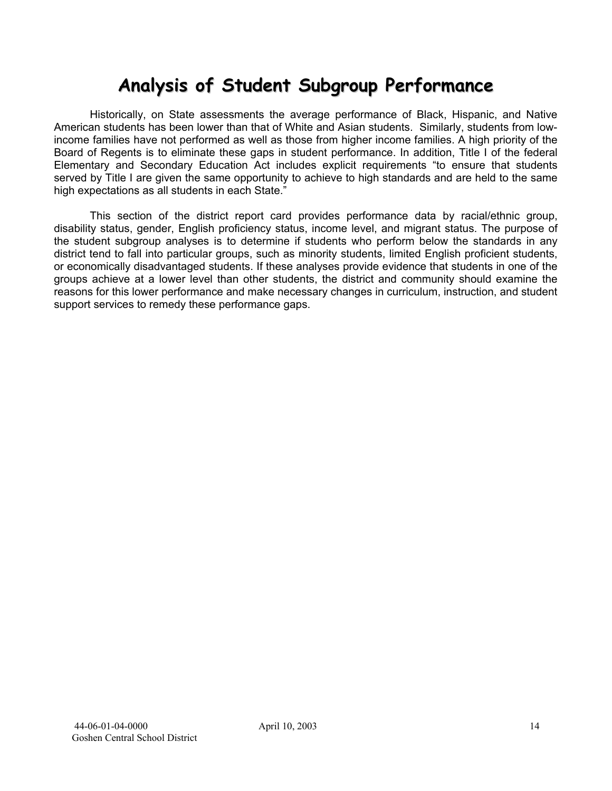# **Analysis of Student Subgroup Performance**

Historically, on State assessments the average performance of Black, Hispanic, and Native American students has been lower than that of White and Asian students. Similarly, students from lowincome families have not performed as well as those from higher income families. A high priority of the Board of Regents is to eliminate these gaps in student performance. In addition, Title I of the federal Elementary and Secondary Education Act includes explicit requirements "to ensure that students served by Title I are given the same opportunity to achieve to high standards and are held to the same high expectations as all students in each State."

This section of the district report card provides performance data by racial/ethnic group, disability status, gender, English proficiency status, income level, and migrant status. The purpose of the student subgroup analyses is to determine if students who perform below the standards in any district tend to fall into particular groups, such as minority students, limited English proficient students, or economically disadvantaged students. If these analyses provide evidence that students in one of the groups achieve at a lower level than other students, the district and community should examine the reasons for this lower performance and make necessary changes in curriculum, instruction, and student support services to remedy these performance gaps.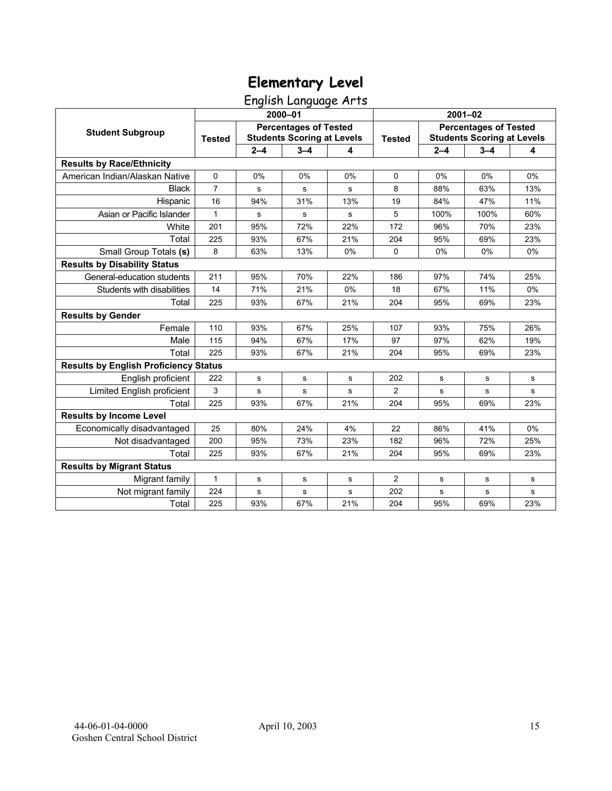English Language Arts

|                                              |                |           |                                                                   |     | $2001 - 02$    |             |                                                                   |     |  |
|----------------------------------------------|----------------|-----------|-------------------------------------------------------------------|-----|----------------|-------------|-------------------------------------------------------------------|-----|--|
|                                              |                |           | 2000-01                                                           |     |                |             |                                                                   |     |  |
| <b>Student Subgroup</b>                      | <b>Tested</b>  |           | <b>Percentages of Tested</b><br><b>Students Scoring at Levels</b> |     | <b>Tested</b>  |             | <b>Percentages of Tested</b><br><b>Students Scoring at Levels</b> |     |  |
|                                              |                | $2 - 4$   | $3 - 4$                                                           | 4   |                | $2 - 4$     | $3 - 4$                                                           | 4   |  |
| <b>Results by Race/Ethnicity</b>             |                |           |                                                                   |     |                |             |                                                                   |     |  |
| American Indian/Alaskan Native               | 0              | 0%        | 0%                                                                | 0%  | $\mathbf 0$    | 0%          | 0%                                                                | 0%  |  |
| <b>Black</b>                                 | $\overline{7}$ | ${\bf s}$ | s                                                                 | s   | 8              | 88%         | 63%                                                               | 13% |  |
| Hispanic                                     | 16             | 94%       | 31%                                                               | 13% | 19             | 84%         | 47%                                                               | 11% |  |
| Asian or Pacific Islander                    | 1              | s         | s                                                                 | s   | 5              | 100%        | 100%                                                              | 60% |  |
| White                                        | 201            | 95%       | 72%                                                               | 22% | 172            | 96%         | 70%                                                               | 23% |  |
| Total                                        | 225            | 93%       | 67%                                                               | 21% | 204            | 95%         | 69%                                                               | 23% |  |
| Small Group Totals (s)                       | 8              | 63%       | 13%                                                               | 0%  | 0              | 0%          | 0%                                                                | 0%  |  |
| <b>Results by Disability Status</b>          |                |           |                                                                   |     |                |             |                                                                   |     |  |
| General-education students                   | 211            | 95%       | 70%                                                               | 22% | 186            | 97%         | 74%                                                               | 25% |  |
| Students with disabilities                   | 14             | 71%       | 21%                                                               | 0%  | 18             | 67%         | 11%                                                               | 0%  |  |
| Total                                        | 225            | 93%       | 67%                                                               | 21% | 204            | 95%         | 69%                                                               | 23% |  |
| <b>Results by Gender</b>                     |                |           |                                                                   |     |                |             |                                                                   |     |  |
| Female                                       | 110            | 93%       | 67%                                                               | 25% | 107            | 93%         | 75%                                                               | 26% |  |
| Male                                         | 115            | 94%       | 67%                                                               | 17% | 97             | 97%         | 62%                                                               | 19% |  |
| Total                                        | 225            | 93%       | 67%                                                               | 21% | 204            | 95%         | 69%                                                               | 23% |  |
| <b>Results by English Proficiency Status</b> |                |           |                                                                   |     |                |             |                                                                   |     |  |
| English proficient                           | 222            | s         | s                                                                 | s   | 202            | s           | s                                                                 | s   |  |
| Limited English proficient                   | 3              | ${\bf s}$ | s                                                                 | s   | 2              | $\mathbf s$ | s                                                                 | s   |  |
| Total                                        | 225            | 93%       | 67%                                                               | 21% | 204            | 95%         | 69%                                                               | 23% |  |
| <b>Results by Income Level</b>               |                |           |                                                                   |     |                |             |                                                                   |     |  |
| Economically disadvantaged                   | 25             | 80%       | 24%                                                               | 4%  | 22             | 86%         | 41%                                                               | 0%  |  |
| Not disadvantaged                            | 200            | 95%       | 73%                                                               | 23% | 182            | 96%         | 72%                                                               | 25% |  |
| Total                                        | 225            | 93%       | 67%                                                               | 21% | 204            | 95%         | 69%                                                               | 23% |  |
| <b>Results by Migrant Status</b>             |                |           |                                                                   |     |                |             |                                                                   |     |  |
| Migrant family                               | $\mathbf{1}$   | s         | s                                                                 | s   | $\overline{c}$ | s           | s                                                                 | s   |  |
| Not migrant family                           | 224            | s         | s                                                                 | s   | 202            | $\mathbf S$ | s                                                                 | s   |  |
| Total                                        | 225            | 93%       | 67%                                                               | 21% | 204            | 95%         | 69%                                                               | 23% |  |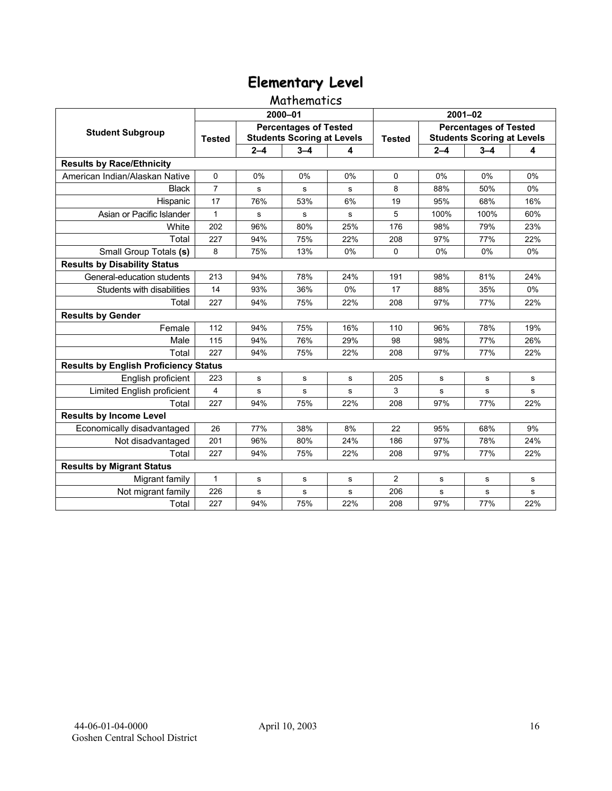### Mathematics

|                                              |                |         | 2000-01                                                           |     | $2001 - 02$   |             |                                                                   |     |  |
|----------------------------------------------|----------------|---------|-------------------------------------------------------------------|-----|---------------|-------------|-------------------------------------------------------------------|-----|--|
| <b>Student Subgroup</b>                      | <b>Tested</b>  |         | <b>Percentages of Tested</b><br><b>Students Scoring at Levels</b> |     | <b>Tested</b> |             | <b>Percentages of Tested</b><br><b>Students Scoring at Levels</b> |     |  |
|                                              |                | $2 - 4$ | $3 - 4$                                                           | 4   |               | $2 - 4$     | $3 - 4$                                                           | 4   |  |
| <b>Results by Race/Ethnicity</b>             |                |         |                                                                   |     |               |             |                                                                   |     |  |
| American Indian/Alaskan Native               | $\mathbf 0$    | 0%      | 0%                                                                | 0%  | $\Omega$      | 0%          | 0%                                                                | 0%  |  |
| <b>Black</b>                                 | $\overline{7}$ | s       | s                                                                 | s   | 8             | 88%         | 50%                                                               | 0%  |  |
| Hispanic                                     | 17             | 76%     | 53%                                                               | 6%  | 19            | 95%         | 68%                                                               | 16% |  |
| Asian or Pacific Islander                    | $\mathbf{1}$   | s       | s                                                                 | s   | 5             | 100%        | 100%                                                              | 60% |  |
| White                                        | 202            | 96%     | 80%                                                               | 25% | 176           | 98%         | 79%                                                               | 23% |  |
| Total                                        | 227            | 94%     | 75%                                                               | 22% | 208           | 97%         | 77%                                                               | 22% |  |
| Small Group Totals (s)                       | 8              | 75%     | 13%                                                               | 0%  | $\Omega$      | 0%          | 0%                                                                | 0%  |  |
| <b>Results by Disability Status</b>          |                |         |                                                                   |     |               |             |                                                                   |     |  |
| General-education students                   | 213            | 94%     | 78%                                                               | 24% | 191           | 98%         | 81%                                                               | 24% |  |
| Students with disabilities                   | 14             | 93%     | 36%                                                               | 0%  | 17            | 88%         | 35%                                                               | 0%  |  |
| Total                                        | 227            | 94%     | 75%                                                               | 22% | 208           | 97%         | 77%                                                               | 22% |  |
| <b>Results by Gender</b>                     |                |         |                                                                   |     |               |             |                                                                   |     |  |
| Female                                       | 112            | 94%     | 75%                                                               | 16% | 110           | 96%         | 78%                                                               | 19% |  |
| Male                                         | 115            | 94%     | 76%                                                               | 29% | 98            | 98%         | 77%                                                               | 26% |  |
| Total                                        | 227            | 94%     | 75%                                                               | 22% | 208           | 97%         | 77%                                                               | 22% |  |
| <b>Results by English Proficiency Status</b> |                |         |                                                                   |     |               |             |                                                                   |     |  |
| English proficient                           | 223            | s       | s                                                                 | s   | 205           | s           | s                                                                 | s   |  |
| Limited English proficient                   | 4              | s       | s                                                                 | s   | 3             | s           | s                                                                 | s   |  |
| Total                                        | 227            | 94%     | 75%                                                               | 22% | 208           | 97%         | 77%                                                               | 22% |  |
| <b>Results by Income Level</b>               |                |         |                                                                   |     |               |             |                                                                   |     |  |
| Economically disadvantaged                   | 26             | 77%     | 38%                                                               | 8%  | 22            | 95%         | 68%                                                               | 9%  |  |
| Not disadvantaged                            | 201            | 96%     | 80%                                                               | 24% | 186           | 97%         | 78%                                                               | 24% |  |
| Total                                        | 227            | 94%     | 75%                                                               | 22% | 208           | 97%         | 77%                                                               | 22% |  |
| <b>Results by Migrant Status</b>             |                |         |                                                                   |     |               |             |                                                                   |     |  |
| Migrant family                               | 1              | s       | s                                                                 | s   | 2             | $\mathbf s$ | s                                                                 | s   |  |
| Not migrant family                           | 226            | s       | s                                                                 | s   | 206           | $\mathbf S$ | s                                                                 | s   |  |
| Total                                        | 227            | 94%     | 75%                                                               | 22% | 208           | 97%         | 77%                                                               | 22% |  |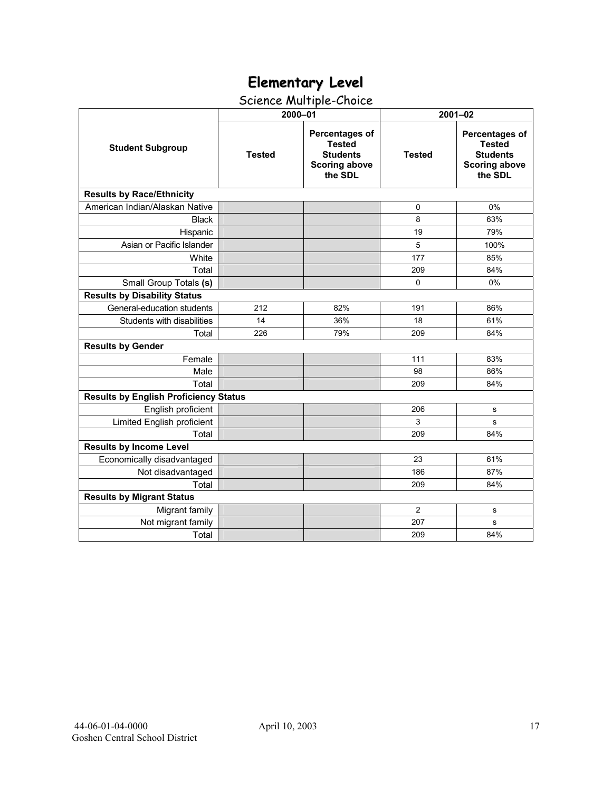# Science Multiple-Choice

|                                              | 2000-01       |                                                                                       | $2001 - 02$   |                                                                                              |  |  |
|----------------------------------------------|---------------|---------------------------------------------------------------------------------------|---------------|----------------------------------------------------------------------------------------------|--|--|
| <b>Student Subgroup</b>                      | <b>Tested</b> | Percentages of<br><b>Tested</b><br><b>Students</b><br><b>Scoring above</b><br>the SDL | <b>Tested</b> | <b>Percentages of</b><br><b>Tested</b><br><b>Students</b><br><b>Scoring above</b><br>the SDL |  |  |
| <b>Results by Race/Ethnicity</b>             |               |                                                                                       |               |                                                                                              |  |  |
| American Indian/Alaskan Native               |               |                                                                                       | 0             | 0%                                                                                           |  |  |
| <b>Black</b>                                 |               |                                                                                       | 8             | 63%                                                                                          |  |  |
| Hispanic                                     |               |                                                                                       | 19            | 79%                                                                                          |  |  |
| Asian or Pacific Islander                    |               |                                                                                       | 5             | 100%                                                                                         |  |  |
| White                                        |               |                                                                                       | 177           | 85%                                                                                          |  |  |
| Total                                        |               |                                                                                       | 209           | 84%                                                                                          |  |  |
| Small Group Totals (s)                       |               |                                                                                       | $\mathbf 0$   | 0%                                                                                           |  |  |
| <b>Results by Disability Status</b>          |               |                                                                                       |               |                                                                                              |  |  |
| General-education students                   | 212           | 82%                                                                                   | 191           | 86%                                                                                          |  |  |
| Students with disabilities                   | 14            | 36%                                                                                   | 18            | 61%                                                                                          |  |  |
| Total                                        | 226           | 79%                                                                                   | 209           | 84%                                                                                          |  |  |
| <b>Results by Gender</b>                     |               |                                                                                       |               |                                                                                              |  |  |
| Female                                       |               |                                                                                       | 111           | 83%                                                                                          |  |  |
| Male                                         |               |                                                                                       | 98            | 86%                                                                                          |  |  |
| Total                                        |               |                                                                                       | 209           | 84%                                                                                          |  |  |
| <b>Results by English Proficiency Status</b> |               |                                                                                       |               |                                                                                              |  |  |
| English proficient                           |               |                                                                                       | 206           | s                                                                                            |  |  |
| Limited English proficient                   |               |                                                                                       | 3             | s                                                                                            |  |  |
| Total                                        |               |                                                                                       | 209           | 84%                                                                                          |  |  |
| <b>Results by Income Level</b>               |               |                                                                                       |               |                                                                                              |  |  |
| Economically disadvantaged                   |               |                                                                                       | 23            | 61%                                                                                          |  |  |
| Not disadvantaged                            |               |                                                                                       | 186           | 87%                                                                                          |  |  |
| Total                                        |               |                                                                                       | 209           | 84%                                                                                          |  |  |
| <b>Results by Migrant Status</b>             |               |                                                                                       |               |                                                                                              |  |  |
| Migrant family                               |               |                                                                                       | 2             | s                                                                                            |  |  |
| Not migrant family                           |               |                                                                                       | 207           | s                                                                                            |  |  |
| Total                                        |               |                                                                                       | 209           | 84%                                                                                          |  |  |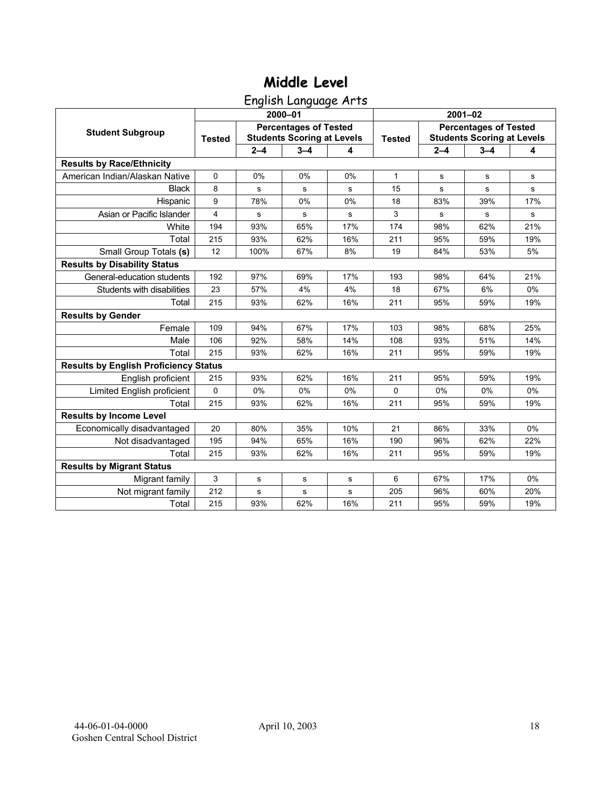English Language Arts

|                                              |               |         | 2000-01                                                           |     | $2001 - 02$   |                                                                   |             |             |  |
|----------------------------------------------|---------------|---------|-------------------------------------------------------------------|-----|---------------|-------------------------------------------------------------------|-------------|-------------|--|
| <b>Student Subgroup</b>                      | <b>Tested</b> |         | <b>Percentages of Tested</b><br><b>Students Scoring at Levels</b> |     | <b>Tested</b> | <b>Percentages of Tested</b><br><b>Students Scoring at Levels</b> |             |             |  |
|                                              |               | $2 - 4$ | $3 - 4$                                                           | 4   |               | $2 - 4$                                                           | $3 - 4$     | 4           |  |
| <b>Results by Race/Ethnicity</b>             |               |         |                                                                   |     |               |                                                                   |             |             |  |
| American Indian/Alaskan Native               | $\mathbf 0$   | 0%      | 0%                                                                | 0%  | 1             | s                                                                 | $\mathbf s$ | $\mathbf s$ |  |
| <b>Black</b>                                 | 8             | s       | s                                                                 | s   | 15            | $\mathbf s$                                                       | s           | s           |  |
| Hispanic                                     | 9             | 78%     | 0%                                                                | 0%  | 18            | 83%                                                               | 39%         | 17%         |  |
| Asian or Pacific Islander                    | 4             | s       | s                                                                 | s   | 3             | s                                                                 | s           | s           |  |
| White                                        | 194           | 93%     | 65%                                                               | 17% | 174           | 98%                                                               | 62%         | 21%         |  |
| Total                                        | 215           | 93%     | 62%                                                               | 16% | 211           | 95%                                                               | 59%         | 19%         |  |
| Small Group Totals (s)                       | 12            | 100%    | 67%                                                               | 8%  | 19            | 84%                                                               | 53%         | 5%          |  |
| <b>Results by Disability Status</b>          |               |         |                                                                   |     |               |                                                                   |             |             |  |
| General-education students                   | 192           | 97%     | 69%                                                               | 17% | 193           | 98%                                                               | 64%         | 21%         |  |
| Students with disabilities                   | 23            | 57%     | 4%                                                                | 4%  | 18            | 67%                                                               | 6%          | $0\%$       |  |
| Total                                        | 215           | 93%     | 62%                                                               | 16% | 211           | 95%                                                               | 59%         | 19%         |  |
| <b>Results by Gender</b>                     |               |         |                                                                   |     |               |                                                                   |             |             |  |
| Female                                       | 109           | 94%     | 67%                                                               | 17% | 103           | 98%                                                               | 68%         | 25%         |  |
| Male                                         | 106           | 92%     | 58%                                                               | 14% | 108           | 93%                                                               | 51%         | 14%         |  |
| Total                                        | 215           | 93%     | 62%                                                               | 16% | 211           | 95%                                                               | 59%         | 19%         |  |
| <b>Results by English Proficiency Status</b> |               |         |                                                                   |     |               |                                                                   |             |             |  |
| English proficient                           | 215           | 93%     | 62%                                                               | 16% | 211           | 95%                                                               | 59%         | 19%         |  |
| Limited English proficient                   | 0             | 0%      | 0%                                                                | 0%  | $\Omega$      | 0%                                                                | 0%          | 0%          |  |
| Total                                        | 215           | 93%     | 62%                                                               | 16% | 211           | 95%                                                               | 59%         | 19%         |  |
| <b>Results by Income Level</b>               |               |         |                                                                   |     |               |                                                                   |             |             |  |
| Economically disadvantaged                   | 20            | 80%     | 35%                                                               | 10% | 21            | 86%                                                               | 33%         | 0%          |  |
| Not disadvantaged                            | 195           | 94%     | 65%                                                               | 16% | 190           | 96%                                                               | 62%         | 22%         |  |
| Total                                        | 215           | 93%     | 62%                                                               | 16% | 211           | 95%                                                               | 59%         | 19%         |  |
| <b>Results by Migrant Status</b>             |               |         |                                                                   |     |               |                                                                   |             |             |  |
| Migrant family                               | 3             | s       | s                                                                 | s   | 6             | 67%                                                               | 17%         | $0\%$       |  |
| Not migrant family                           | 212           | s       | $\mathbf s$                                                       | s   | 205           | 96%                                                               | 60%         | 20%         |  |
| Total                                        | 215           | 93%     | 62%                                                               | 16% | 211           | 95%                                                               | 59%         | 19%         |  |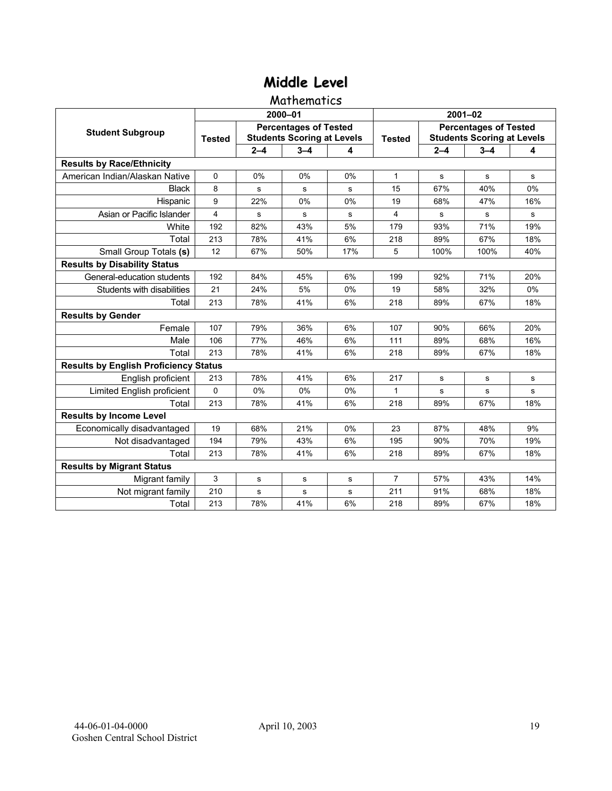#### **Mathematics**

|                                              |               |         | 2000-01                                                           |     | $2001 - 02$    |                                                                   |         |     |  |
|----------------------------------------------|---------------|---------|-------------------------------------------------------------------|-----|----------------|-------------------------------------------------------------------|---------|-----|--|
| <b>Student Subgroup</b>                      | <b>Tested</b> |         | <b>Percentages of Tested</b><br><b>Students Scoring at Levels</b> |     | <b>Tested</b>  | <b>Percentages of Tested</b><br><b>Students Scoring at Levels</b> |         |     |  |
|                                              |               | $2 - 4$ | $3 - 4$                                                           | 4   |                | $2 - 4$                                                           | $3 - 4$ | 4   |  |
| <b>Results by Race/Ethnicity</b>             |               |         |                                                                   |     |                |                                                                   |         |     |  |
| American Indian/Alaskan Native               | $\Omega$      | 0%      | 0%                                                                | 0%  | 1              | s                                                                 | s       | s   |  |
| <b>Black</b>                                 | 8             | s       | s                                                                 | s   | 15             | 67%                                                               | 40%     | 0%  |  |
| Hispanic                                     | 9             | 22%     | 0%                                                                | 0%  | 19             | 68%                                                               | 47%     | 16% |  |
| Asian or Pacific Islander                    | 4             | s       | s                                                                 | s   | 4              | s                                                                 | s       | s   |  |
| White                                        | 192           | 82%     | 43%                                                               | 5%  | 179            | 93%                                                               | 71%     | 19% |  |
| Total                                        | 213           | 78%     | 41%                                                               | 6%  | 218            | 89%                                                               | 67%     | 18% |  |
| Small Group Totals (s)                       | 12            | 67%     | 50%                                                               | 17% | 5              | 100%                                                              | 100%    | 40% |  |
| <b>Results by Disability Status</b>          |               |         |                                                                   |     |                |                                                                   |         |     |  |
| General-education students                   | 192           | 84%     | 45%                                                               | 6%  | 199            | 92%                                                               | 71%     | 20% |  |
| Students with disabilities                   | 21            | 24%     | 5%                                                                | 0%  | 19             | 58%                                                               | 32%     | 0%  |  |
| Total                                        | 213           | 78%     | 41%                                                               | 6%  | 218            | 89%                                                               | 67%     | 18% |  |
| <b>Results by Gender</b>                     |               |         |                                                                   |     |                |                                                                   |         |     |  |
| Female                                       | 107           | 79%     | 36%                                                               | 6%  | 107            | 90%                                                               | 66%     | 20% |  |
| Male                                         | 106           | 77%     | 46%                                                               | 6%  | 111            | 89%                                                               | 68%     | 16% |  |
| Total                                        | 213           | 78%     | 41%                                                               | 6%  | 218            | 89%                                                               | 67%     | 18% |  |
| <b>Results by English Proficiency Status</b> |               |         |                                                                   |     |                |                                                                   |         |     |  |
| English proficient                           | 213           | 78%     | 41%                                                               | 6%  | 217            | s                                                                 | s       | s   |  |
| Limited English proficient                   | 0             | 0%      | 0%                                                                | 0%  | 1              | s                                                                 | s       | s   |  |
| Total                                        | 213           | 78%     | 41%                                                               | 6%  | 218            | 89%                                                               | 67%     | 18% |  |
| <b>Results by Income Level</b>               |               |         |                                                                   |     |                |                                                                   |         |     |  |
| Economically disadvantaged                   | 19            | 68%     | 21%                                                               | 0%  | 23             | 87%                                                               | 48%     | 9%  |  |
| Not disadvantaged                            | 194           | 79%     | 43%                                                               | 6%  | 195            | 90%                                                               | 70%     | 19% |  |
| Total                                        | 213           | 78%     | 41%                                                               | 6%  | 218            | 89%                                                               | 67%     | 18% |  |
| <b>Results by Migrant Status</b>             |               |         |                                                                   |     |                |                                                                   |         |     |  |
| Migrant family                               | 3             | s       | $\mathbf s$                                                       | s   | $\overline{7}$ | 57%                                                               | 43%     | 14% |  |
| Not migrant family                           | 210           | s       | s                                                                 | s   | 211            | 91%                                                               | 68%     | 18% |  |
| Total                                        | 213           | 78%     | 41%                                                               | 6%  | 218            | 89%                                                               | 67%     | 18% |  |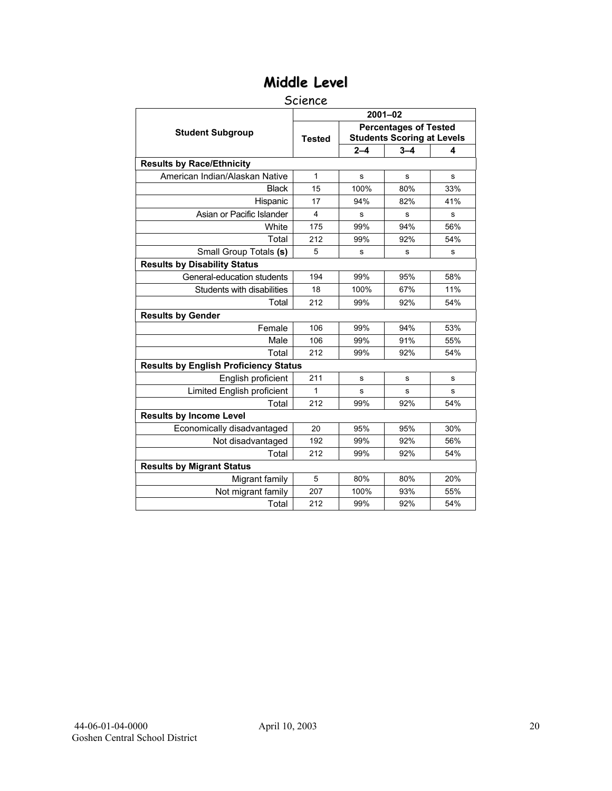#### Science

|                                              | $2001 - 02$   |         |                                                                   |     |  |  |  |  |
|----------------------------------------------|---------------|---------|-------------------------------------------------------------------|-----|--|--|--|--|
| <b>Student Subgroup</b>                      | <b>Tested</b> |         | <b>Percentages of Tested</b><br><b>Students Scoring at Levels</b> |     |  |  |  |  |
|                                              |               | $2 - 4$ | $3 - 4$                                                           | 4   |  |  |  |  |
| <b>Results by Race/Ethnicity</b>             |               |         |                                                                   |     |  |  |  |  |
| American Indian/Alaskan Native               | $\mathbf{1}$  | s       | s                                                                 | s   |  |  |  |  |
| <b>Black</b>                                 | 15            | 100%    | 80%                                                               | 33% |  |  |  |  |
| Hispanic                                     | 17            | 94%     | 82%                                                               | 41% |  |  |  |  |
| Asian or Pacific Islander                    | 4             | s       | s                                                                 | s   |  |  |  |  |
| White                                        | 175           | 99%     | 94%                                                               | 56% |  |  |  |  |
| Total                                        | 212           | 99%     | 92%                                                               | 54% |  |  |  |  |
| Small Group Totals (s)                       | 5             | s       | s                                                                 | s   |  |  |  |  |
| <b>Results by Disability Status</b>          |               |         |                                                                   |     |  |  |  |  |
| General-education students                   | 194           | 99%     | 95%                                                               | 58% |  |  |  |  |
| Students with disabilities                   | 18            | 100%    | 67%                                                               | 11% |  |  |  |  |
| Total                                        | 212           | 99%     | 92%                                                               | 54% |  |  |  |  |
| <b>Results by Gender</b>                     |               |         |                                                                   |     |  |  |  |  |
| Female                                       | 106           | 99%     | 94%                                                               | 53% |  |  |  |  |
| Male                                         | 106           | 99%     | 91%                                                               | 55% |  |  |  |  |
| Total                                        | 212           | 99%     | 92%                                                               | 54% |  |  |  |  |
| <b>Results by English Proficiency Status</b> |               |         |                                                                   |     |  |  |  |  |
| English proficient                           | 211           | s       | s                                                                 | s   |  |  |  |  |
| Limited English proficient                   | 1             | s       | s                                                                 | s   |  |  |  |  |
| Total                                        | 212           | 99%     | 92%                                                               | 54% |  |  |  |  |
| <b>Results by Income Level</b>               |               |         |                                                                   |     |  |  |  |  |
| Economically disadvantaged                   | 20            | 95%     | 95%                                                               | 30% |  |  |  |  |
| Not disadvantaged                            | 192           | 99%     | 92%                                                               | 56% |  |  |  |  |
| Total                                        | 212           | 99%     | 92%                                                               | 54% |  |  |  |  |
| <b>Results by Migrant Status</b>             |               |         |                                                                   |     |  |  |  |  |
| Migrant family                               | 5             | 80%     | 80%                                                               | 20% |  |  |  |  |
| Not migrant family                           | 207           | 100%    | 93%                                                               | 55% |  |  |  |  |
| Total                                        | 212           | 99%     | 92%                                                               | 54% |  |  |  |  |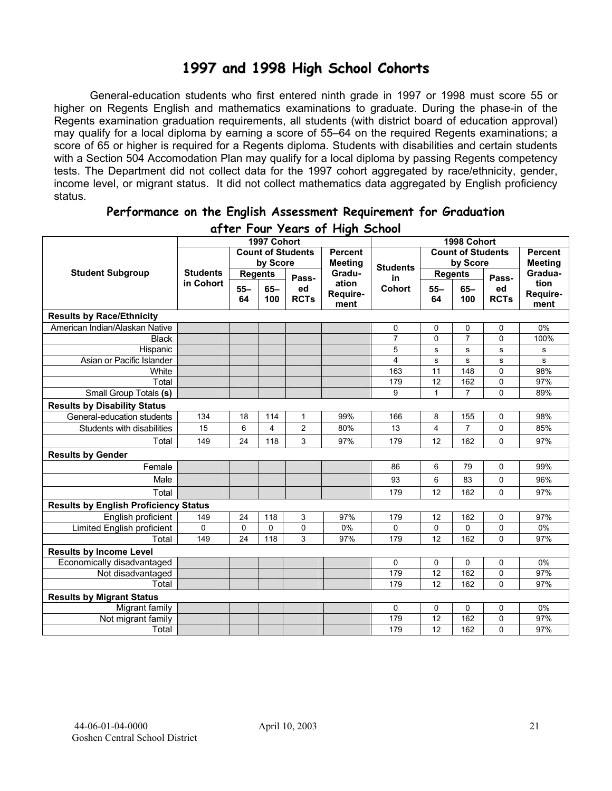## **1997 and 1998 High School Cohorts**

General-education students who first entered ninth grade in 1997 or 1998 must score 55 or higher on Regents English and mathematics examinations to graduate. During the phase-in of the Regents examination graduation requirements, all students (with district board of education approval) may qualify for a local diploma by earning a score of 55–64 on the required Regents examinations; a score of 65 or higher is required for a Regents diploma. Students with disabilities and certain students with a Section 504 Accomodation Plan may qualify for a local diploma by passing Regents competency tests. The Department did not collect data for the 1997 cohort aggregated by race/ethnicity, gender, income level, or migrant status. It did not collect mathematics data aggregated by English proficiency status.

| aller Lour Years of Light School             |                 |                |             |                          |                |                 |              |                          |             |                |
|----------------------------------------------|-----------------|----------------|-------------|--------------------------|----------------|-----------------|--------------|--------------------------|-------------|----------------|
|                                              |                 |                | 1997 Cohort |                          |                |                 |              | 1998 Cohort              |             |                |
|                                              |                 |                |             | <b>Count of Students</b> | <b>Percent</b> |                 |              | <b>Count of Students</b> |             | <b>Percent</b> |
|                                              |                 |                | by Score    |                          | <b>Meeting</b> | <b>Students</b> |              | by Score                 |             | <b>Meeting</b> |
| <b>Student Subgroup</b>                      | <b>Students</b> | <b>Regents</b> |             | Pass-                    | Gradu-         | in              |              | <b>Regents</b>           | Pass-       | Gradua-        |
|                                              | in Cohort       | $55 -$         | $65 -$      | ed                       | ation          | Cohort          | $55 -$       | $65-$                    | ed          | tion           |
|                                              |                 | 64             | 100         | <b>RCTs</b>              | Require-       |                 | 64           | 100                      | <b>RCTs</b> | Require-       |
|                                              |                 |                |             |                          | ment           |                 |              |                          |             | ment           |
| <b>Results by Race/Ethnicity</b>             |                 |                |             |                          |                |                 |              |                          |             |                |
| American Indian/Alaskan Native               |                 |                |             |                          |                | 0               | 0            | 0                        | 0           | 0%             |
| <b>Black</b>                                 |                 |                |             |                          |                | $\overline{7}$  | 0            | $\overline{7}$           | 0           | 100%           |
| Hispanic                                     |                 |                |             |                          |                | 5               | s            | ${\bf s}$                | s           | s              |
| Asian or Pacific Islander                    |                 |                |             |                          |                | 4               | ${\bf s}$    | s                        | s           | s              |
| White                                        |                 |                |             |                          |                | 163             | 11           | 148                      | 0           | 98%            |
| Total                                        |                 |                |             |                          |                | 179             | 12           | 162                      | 0           | 97%            |
| Small Group Totals (s)                       |                 |                |             |                          |                | 9               | $\mathbf{1}$ | $\overline{7}$           | 0           | 89%            |
| <b>Results by Disability Status</b>          |                 |                |             |                          |                |                 |              |                          |             |                |
| General-education students                   | 134             | 18             | 114         | $\mathbf{1}$             | 99%            | 166             | 8            | 155                      | 0           | 98%            |
| Students with disabilities                   | 15              | 6              | 4           | $\overline{2}$           | 80%            | 13              | 4            | $\overline{7}$           | 0           | 85%            |
| Total                                        | 149             | 24             | 118         | 3                        | 97%            | 179             | 12           | 162                      | 0           | 97%            |
| <b>Results by Gender</b>                     |                 |                |             |                          |                |                 |              |                          |             |                |
| Female                                       |                 |                |             |                          |                | 86              | 6            | 79                       | 0           | 99%            |
| Male                                         |                 |                |             |                          |                | 93              | 6            | 83                       | 0           | 96%            |
| Total                                        |                 |                |             |                          |                | 179             | 12           | 162                      | 0           | 97%            |
| <b>Results by English Proficiency Status</b> |                 |                |             |                          |                |                 |              |                          |             |                |
| English proficient                           | 149             | 24             | 118         | 3                        | 97%            | 179             | 12           | 162                      | 0           | 97%            |
| Limited English proficient                   | 0               | $\mathbf 0$    | $\Omega$    | $\mathbf 0$              | 0%             | 0               | 0            | 0                        | 0           | 0%             |
| Total                                        | 149             | 24             | 118         | 3                        | 97%            | 179             | 12           | 162                      | 0           | 97%            |
| <b>Results by Income Level</b>               |                 |                |             |                          |                |                 |              |                          |             |                |
| Economically disadvantaged                   |                 |                |             |                          |                | 0               | 0            | 0                        | 0           | 0%             |
| Not disadvantaged                            |                 |                |             |                          |                | 179             | 12           | 162                      | 0           | 97%            |
| Total                                        |                 |                |             |                          |                | 179             | 12           | 162                      | 0           | 97%            |
| <b>Results by Migrant Status</b>             |                 |                |             |                          |                |                 |              |                          |             |                |
| Migrant family                               |                 |                |             |                          |                | 0               | 0            | 0                        | 0           | 0%             |
| Not migrant family                           |                 |                |             |                          |                | 179             | 12           | 162                      | 0           | 97%            |
| Total                                        |                 |                |             |                          |                | 179             | 12           | 162                      | 0           | 97%            |

#### **Performance on the English Assessment Requirement for Graduation after Four Years of High School**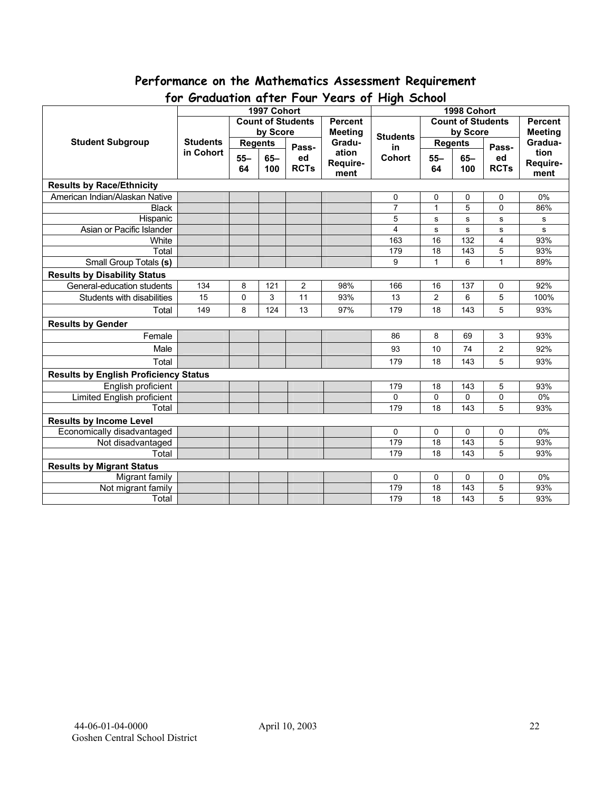# **Performance on the Mathematics Assessment Requirement**

| יש ו<br><b>U</b> GUUUTTUR UTTEL TUUL<br>1997 Cohort |                 |                |          |                          |                          | $1$ cuts by The street<br>1998 Cohort |                 |          |                |                           |
|-----------------------------------------------------|-----------------|----------------|----------|--------------------------|--------------------------|---------------------------------------|-----------------|----------|----------------|---------------------------|
|                                                     |                 |                |          | <b>Count of Students</b> | <b>Percent</b>           | <b>Count of Students</b>              |                 |          | <b>Percent</b> |                           |
|                                                     |                 |                |          |                          |                          |                                       |                 |          |                |                           |
| <b>Student Subgroup</b>                             | <b>Students</b> |                | by Score |                          | <b>Meeting</b><br>Gradu- | <b>Students</b>                       |                 | by Score |                | <b>Meeting</b><br>Gradua- |
|                                                     | in Cohort       | <b>Regents</b> |          | Pass-                    | ation                    | in                                    | <b>Regents</b>  |          | Pass-          | tion                      |
|                                                     |                 | $55 -$         | $65 -$   | ed                       | Require-                 | <b>Cohort</b>                         | $55 -$          | $65-$    | ed             | Require-                  |
|                                                     |                 | 64             | 100      | <b>RCTs</b>              | ment                     |                                       | 64              | 100      | <b>RCTs</b>    | ment                      |
| <b>Results by Race/Ethnicity</b>                    |                 |                |          |                          |                          |                                       |                 |          |                |                           |
| American Indian/Alaskan Native                      |                 |                |          |                          |                          | 0                                     | 0               | 0        | 0              | 0%                        |
| <b>Black</b>                                        |                 |                |          |                          |                          | $\overline{7}$                        | $\mathbf{1}$    | 5        | $\overline{0}$ | 86%                       |
| Hispanic                                            |                 |                |          |                          |                          | 5                                     | s               | s        | s              | s                         |
| Asian or Pacific Islander                           |                 |                |          |                          |                          | 4                                     | s               | s        | ${\bf s}$      | $\mathbf{s}$              |
| White                                               |                 |                |          |                          |                          | 163                                   | 16              | 132      | $\overline{4}$ | 93%                       |
| Total                                               |                 |                |          |                          |                          | 179                                   | $\overline{18}$ | 143      | $\overline{5}$ | 93%                       |
| Small Group Totals (s)                              |                 |                |          |                          |                          | 9                                     | $\mathbf{1}$    | 6        | 1              | 89%                       |
| <b>Results by Disability Status</b>                 |                 |                |          |                          |                          |                                       |                 |          |                |                           |
| General-education students                          | 134             | 8              | 121      | 2                        | 98%                      | 166                                   | 16              | 137      | 0              | 92%                       |
| Students with disabilities                          | 15              | $\pmb{0}$      | 3        | 11                       | 93%                      | 13                                    | $\overline{2}$  | 6        | 5              | 100%                      |
| Total                                               | 149             | 8              | 124      | 13                       | 97%                      | 179                                   | 18              | 143      | 5              | 93%                       |
| <b>Results by Gender</b>                            |                 |                |          |                          |                          |                                       |                 |          |                |                           |
| Female                                              |                 |                |          |                          |                          | 86                                    | 8               | 69       | 3              | 93%                       |
| Male                                                |                 |                |          |                          |                          | 93                                    | 10              | 74       | $\overline{c}$ | 92%                       |
| Total                                               |                 |                |          |                          |                          | 179                                   | 18              | 143      | 5              | 93%                       |
| <b>Results by English Proficiency Status</b>        |                 |                |          |                          |                          |                                       |                 |          |                |                           |
| English proficient                                  |                 |                |          |                          |                          | 179                                   | 18              | 143      | 5              | 93%                       |
| <b>Limited English proficient</b>                   |                 |                |          |                          |                          | $\Omega$                              | $\Omega$        | 0        | 0              | 0%                        |
| Total                                               |                 |                |          |                          |                          | 179                                   | 18              | 143      | 5              | 93%                       |
| <b>Results by Income Level</b>                      |                 |                |          |                          |                          |                                       |                 |          |                |                           |
| Economically disadvantaged                          |                 |                |          |                          |                          | 0                                     | $\mathbf 0$     | 0        | 0              | 0%                        |
| Not disadvantaged                                   |                 |                |          |                          |                          | 179                                   | 18              | 143      | 5              | 93%                       |
| Total                                               |                 |                |          |                          |                          | 179                                   | 18              | 143      | 5              | 93%                       |
| <b>Results by Migrant Status</b>                    |                 |                |          |                          |                          |                                       |                 |          |                |                           |
| Migrant family                                      |                 |                |          |                          |                          | 0                                     | 0               | 0        | 0              | 0%                        |
| Not migrant family                                  |                 |                |          |                          |                          | 179                                   | 18              | 143      | 5              | 93%                       |
| Total                                               |                 |                |          |                          |                          | 179                                   | 18              | 143      | 5              | 93%                       |

## **for Graduation after Four Years of High School**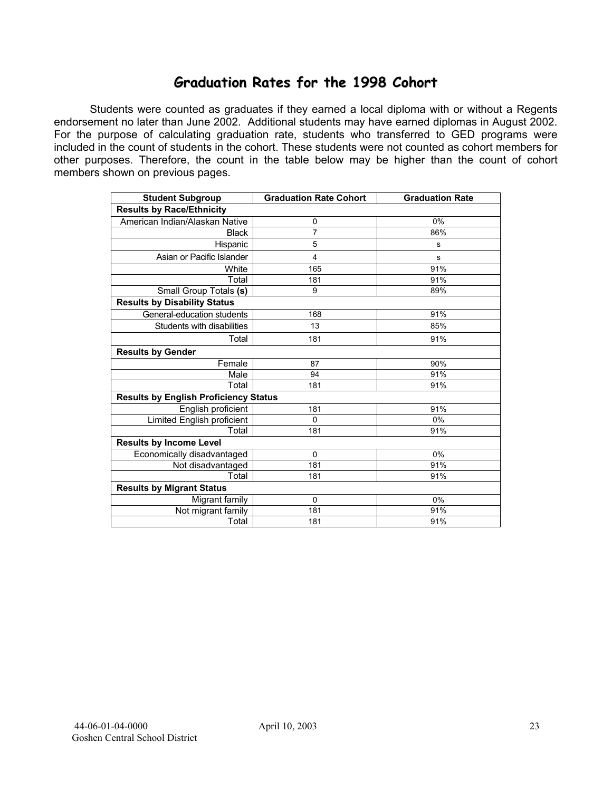## **Graduation Rates for the 1998 Cohort**

Students were counted as graduates if they earned a local diploma with or without a Regents endorsement no later than June 2002. Additional students may have earned diplomas in August 2002. For the purpose of calculating graduation rate, students who transferred to GED programs were included in the count of students in the cohort. These students were not counted as cohort members for other purposes. Therefore, the count in the table below may be higher than the count of cohort members shown on previous pages.

| <b>Student Subgroup</b>                      | <b>Graduation Rate Cohort</b> | <b>Graduation Rate</b> |
|----------------------------------------------|-------------------------------|------------------------|
| <b>Results by Race/Ethnicity</b>             |                               |                        |
| American Indian/Alaskan Native               | 0                             | 0%                     |
| <b>Black</b>                                 | 7                             | 86%                    |
| Hispanic                                     | 5                             | s                      |
| Asian or Pacific Islander                    | 4                             | s                      |
| White                                        | 165                           | 91%                    |
| Total                                        | 181                           | 91%                    |
| Small Group Totals (s)                       | 9                             | 89%                    |
| <b>Results by Disability Status</b>          |                               |                        |
| General-education students                   | 168                           | 91%                    |
| Students with disabilities                   | 13                            | 85%                    |
| Total                                        | 181                           | 91%                    |
| <b>Results by Gender</b>                     |                               |                        |
| Female                                       | 87                            | 90%                    |
| Male                                         | 94                            | 91%                    |
| Total                                        | 181                           | 91%                    |
| <b>Results by English Proficiency Status</b> |                               |                        |
| English proficient                           | 181                           | 91%                    |
| Limited English proficient                   | 0                             | 0%                     |
| Total                                        | 181                           | 91%                    |
| <b>Results by Income Level</b>               |                               |                        |
| Economically disadvantaged                   | $\mathbf 0$                   | 0%                     |
| Not disadvantaged                            | 181                           | 91%                    |
| Total                                        | 181                           | 91%                    |
| <b>Results by Migrant Status</b>             |                               |                        |
| Migrant family                               | $\mathbf 0$                   | 0%                     |
| Not migrant family                           | 181                           | 91%                    |
| Total                                        | 181                           | 91%                    |